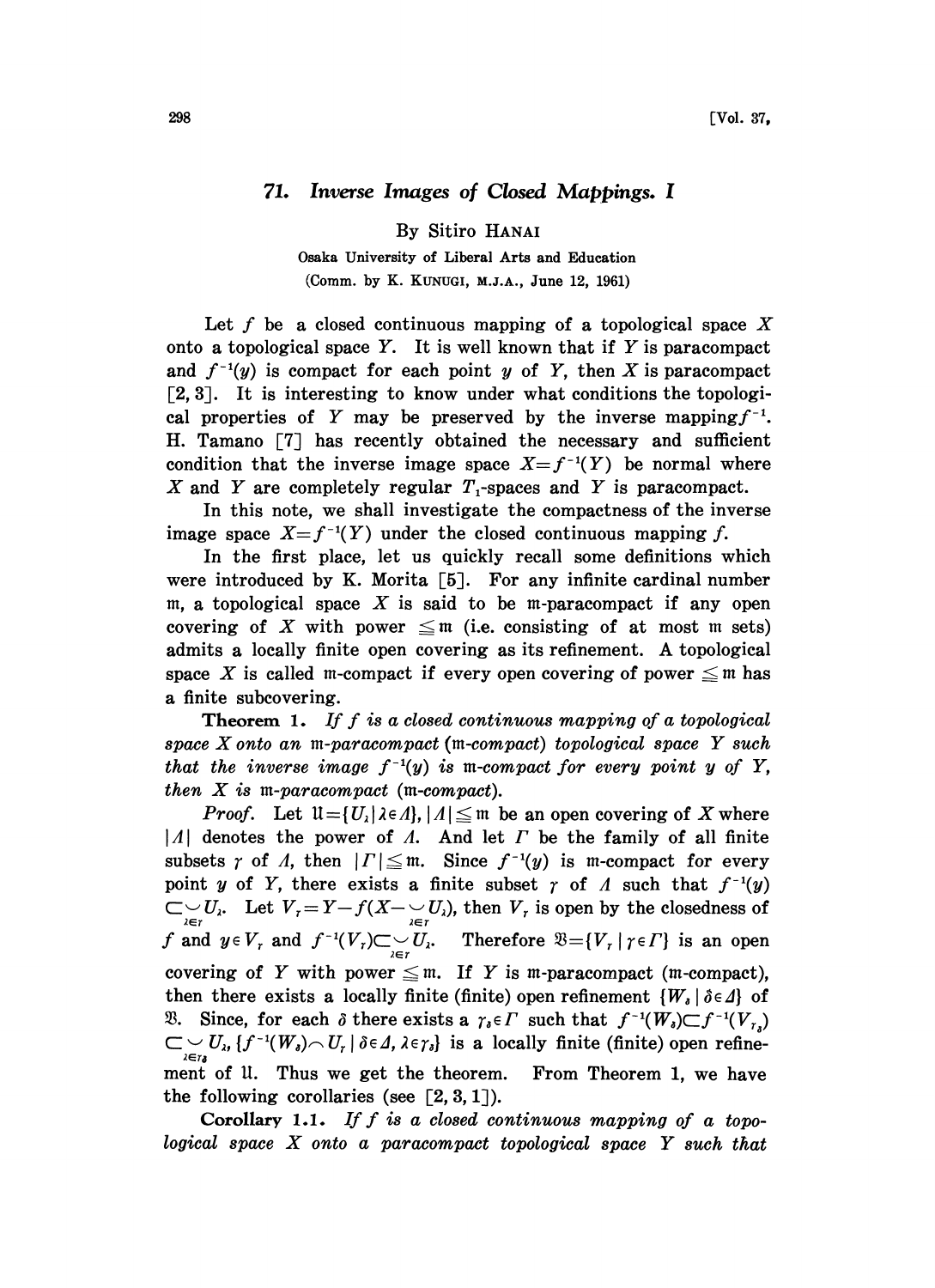## 71. Inverse Images of Closed Mappings. <sup>I</sup>

By Sitiro HANAI

Osaka University of Liberal Arts and Education (Comm. by K. KUNUGI, M.J.A., June 12, 1961)

Let  $f$  be a closed continuous mapping of a topological space  $X$ onto a topological space Y. It is well known that if Y is paracompact and  $f^{-1}(y)$  is compact for each point y of Y, then X is paracompact [2, 3]. It is interesting to know under what conditions the topological properties of Y may be preserved by the inverse mapping  $f^{-1}$ . H. Tamano [7] has recently obtained the necessary and sufficient condition that the inverse image space  $X=f^{-1}(Y)$  be normal where X and Y are completely regular  $T_1$ -spaces and Y is paracompact.

In this note, we shall investigate the compactness of the inverse image space  $X=f^{-1}(Y)$  under the closed continuous mapping f.

In the first place, let us quickly recall some definitions which were introduced by K. Morita  $[5]$ . For any infinite cardinal number m, a topological space  $X$  is said to be m-paracompact if any open covering of X with power  $\leq$  m (i.e. consisting of at most m sets) admits <sup>a</sup> locally finite open covering as its refinement. A topological space X is called m-compact if every open covering of power  $\leq m$  has a finite subcovering.

**Theorem 1.** If f is a closed continuous mapping of a topological space X onto an m-paracompact (m-compact) topological space Y such that the inverse image  $f^{-1}(y)$  is m-compact for every point y of Y, then  $X$  is m-paracompact (m-compact).

*Proof.* Let  $\mathfrak{U} = \{ U_{\lambda} | \lambda \in \Lambda \}$ ,  $| \Lambda | \leq \mathfrak{m}$  be an open covering of X where  $|A|$  denotes the power of A. And let  $\Gamma$  be the family of all finite subsets  $\gamma$  of  $\Lambda$ , then  $|\Gamma| \leq m$ . Since  $f^{-1}(y)$  is m-compact for every point y of Y, there exists a finite subset  $\gamma$  of  $\Lambda$  such that  $f^{-1}(y)$  $\bigcup_{\lambda \in \mathcal{I}} U_{\lambda}$ . Let  $V_{\tau} = Y - f(X - \bigcup_{\lambda \in \mathcal{I}} I_{\lambda})$ , then  $V_{\tau}$  is open by the closedness of f and  $y \in V_r$  and  $f^{-1}(V_r) \subset \bigcup_{\lambda \in r} U_{\lambda}$ . Therefore  $\mathfrak{B} = \{ V_r \mid r \in \Gamma \}$  is an open<br>paracompact (m-compact),<br>refinement  $\{ W_s \mid \delta \in \Lambda \}$  of covering of Y with power  $\leq$  m. If Y is m-paracompact (m-compact), then there exists a locally finite (finite) open refinement  $\{W_a | \delta \in \Delta\}$  of 3. Since, for each  $\delta$  there exists a  $\gamma_i \in \Gamma$  such that  $f^{-1}(W_i) \subset f^{-1}(V_{\gamma_i})$  $\mathbb{C} \underset{\lambda \in r_{\delta}}{\cup} U_{\lambda}$ ,  $\{f^{-1}(W_{\delta}) \frown U_{\gamma} | \delta \in \Delta, \lambda \in \gamma_{\delta} \}$  is a locally finite (finite) open refinement of U. Thus we get the theorem. From Theorem 1, we have the following corollaries (see  $\lceil 2, 3, 1 \rceil$ ).

Corollary 1.1. If f is a closed continuous mapping of a topological space X onto <sup>a</sup> paracompact topological space Y such that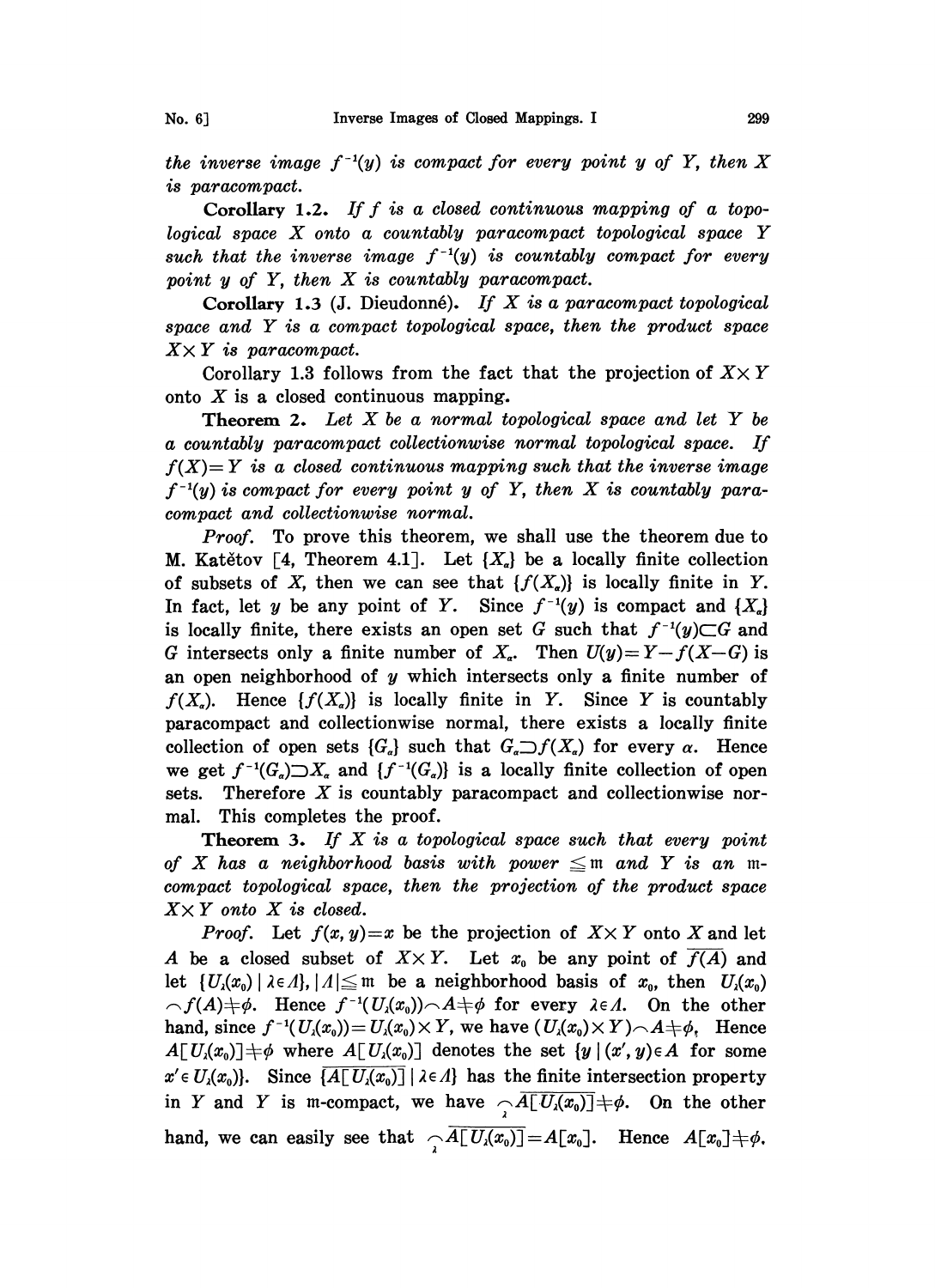No. 6]

the inverse image  $f^{-1}(y)$  is compact for every point y of Y, then X is paracompact.

Corollary, 1.2. If f is a closed continuous mapping of a topological space X onto <sup>a</sup> countably paracompact topological space Y such that the inverse image  $f^{-1}(y)$  is countably compact for every point <sup>y</sup> of Y, then X is countably paracompact.

Corollary, 1.3 (J. Dieudonné). If X is a paracompact topological space and Y is <sup>a</sup> compact topological space, then the product space  $X \times Y$  is paracompact.

Corollary 1.3 follows from the fact that the projection of  $X \times Y$ onto  $X$  is a closed continuous mapping.

**Theorem 2.** Let  $X$  be a normal topological space and let  $Y$  be a countably paracompact collectionwise normal topological space. If  $f(X)=Y$  is a closed continuous mapping such that the inverse image  $f^{-1}(y)$  is compact for every point y of Y, then X is countably paracompact and collectionwise normal.

*Proof.* To prove this theorem, we shall use the theorem due to M. Katětov [4, Theorem 4.1]. Let  $\{X_{\alpha}\}\$ be a locally finite collection of subsets of X, then we can see that  $\{f(X_n)\}\)$  is locally finite in Y. In fact, let y be any point of Y. Since  $f^{-1}(y)$  is compact and  $\{X_{\alpha}\}\$ is locally finite, there exists an open set G such that  $f^{-1}(y) \subset G$  and G intersects only a finite number of  $X<sub>a</sub>$ . Then  $U(y)=Y-f(X-G)$  is an open neighborhood of  $y$  which intersects only a finite number of  $f(X_n)$ . Hence  $\{f(X_n)\}\$ is locally finite in Y. Since Y is countably paracompact and collectionwise normal, there exists a locally finite collection of open sets  $\{G_{\alpha}\}\$  such that  $G_{\alpha}\supset f(X_{\alpha})$  for every  $\alpha$ . Hence we get  $f^{-1}(G_{\sigma}) \supset X_{\sigma}$  and  $\{f^{-1}(G_{\sigma})\}$  is a locally finite collection of open sets. Therefore X is countably paracompact and collectionwise normal. This completes the proof.

**Theorem 3.** If  $X$  is a topological space such that every point of X has a neighborhood basis with power  $\leq$  m and Y is an mcompact topological space, then the projection of the product space  $X \times Y$  onto X is closed.

*Proof.* Let  $f(x, y)=x$  be the projection of  $X \times Y$  onto X and let A be a closed subset of  $X \times Y$ . Let  $x_0$  be any point of  $\overline{f(A)}$  and let  $\{U_i(x_0) \mid \lambda \in \Lambda\}, |A| \leq m$  be a neighborhood basis of  $x_0$ , then  $U_i(x_0)$  $\widehat{\phantom{a}}_f(A)\neq\emptyset$ . Hence  $f^{-1}(U_i(x_0))\widehat{\phantom{a}}_f(A)\neq\emptyset$  for every  $\lambda\in\Lambda$ . On the other hand, since  $f^{-1}(U_x(x_0))=U_x(x_0)\times Y$ , we have  $(U_x(x_0)\times Y)\setminus A\neq\phi$ , Hence  $A[U(x_0)] \neq \emptyset$  where  $A[U(x_0)]$  denotes the set  $\{y \mid (x', y) \in A\}$  for some  $x' \in U_{\lambda}(x_0)$ . Since  $\overline{A[U_{\lambda}(x_0)]} \setminus \lambda \in \Lambda}$  has the finite intersection property in Y and Y is m-compact, we have  $\sqrt{A[U_\lambda(x_0)]} \neq \emptyset$ . On the other hand, we can easily see that  $\sqrt{A[U(x_0)]}=A[x_0]$ . Hence  $A[x_0]+\phi$ .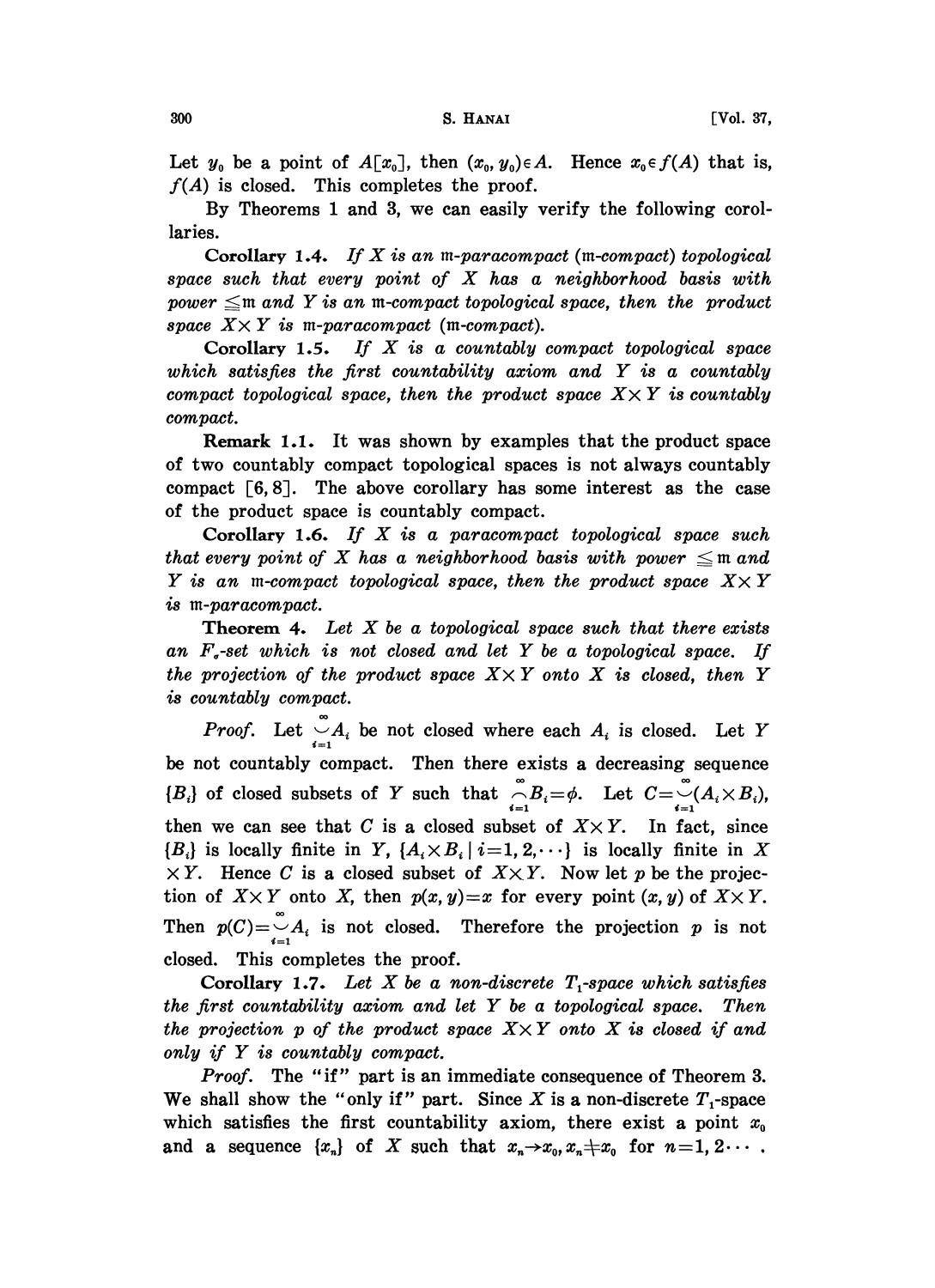Let  $y_0$  be a point of  $A[x_0]$ , then  $(x_0, y_0) \in A$ . Hence  $x_0 \in f(A)$  that is,  $f(A)$  is closed. This completes the proof.

By Theorems <sup>1</sup> and 3, we can easily verify the following corollaries.

Corollary 1.4. If X is an m-paracompact (m-compact) topological space such that every point of  $X$  has a neighborhood basis with power  $\leq$ m and Y is an m-compact topological space, then the product space  $X \times Y$  is m-paracompact (m-compact).<br>Corollary 1.5. If X is a countably

If  $X$  is a countably compact topological space which satisfies the first countability axiom and  $Y$  is a countably compact topological space, then the product space  $X \times Y$  is countably compact.

Remark 1.1. It was shown by examples that the product space of two countably compact topological spaces is not always countably compact [6, 8]. The above corollary has some interest as the case of the product space is countably compact.

 $\frac{1}{2}$  Corollary 1.6. If X is a paracompact topological space such that every point of X has a neighborhood basis with power  $\leq$  m and Y is an m-compact topological space, then the product space  $X \times Y$ is m-paracompact.

**Theorem 4.** Let  $X$  be a topological space such that there exists an  $F<sub>g</sub>$ -set which is not closed and let Y be a topological space. If the projection of the product space  $X \times Y$  onto X is closed, then Y is countably compact.

*Proof.* Let  $\bigcup_{i=1}^{\infty} A_i$  be not closed where each  $A_i$  is closed. Let Y be not countably compact. Then there exists a decreasing sequence  ${B_i}$  of closed subsets of Y such that  $\bigcap_{i=1}^{\infty} B_i = \phi$ . Let  $C = \bigcup_{i=1}^{\infty} (A_i \times B_i)$ , then we can see that C is a closed subset of  $X \times Y$ . In fact, since  ${B_i}$  is locally finite in Y,  ${A_i \times B_i | i=1, 2, \cdots}$  is locally finite in X  $\overline{X}$ . Hence C is a closed subset of  $\overline{X} \times \overline{Y}$ . Now let p be the projection of  $X \times Y$  onto X, then  $p(x, y)=x$  for every point  $(x, y)$  of  $X \times Y$ . Then  $p(C) = \bigcup_{i=1}^{\infty} A_i$  is not closed. Therefore the projection p is not closed. This completes the proof.

Corollary, 1.7. Let X be a non-discrete  $T_1$ -space which satisfies the first countability aziom and let Y be <sup>a</sup> topological space. Then the projection p of the product space  $X \times Y$  onto X is closed if and only if Y is countably compact.

Proof. The "if" part is an immediate consequence of Theorem 3. We shall show the "only if" part. Since X is a non-discrete  $T_1$ -space which satisfies the first countability axiom, there exist a point  $x_0$ and a sequence  $\{x_n\}$  of X such that  $x_n \to x_0, x_n \neq x_0$  for  $n=1, 2 \cdots$ .